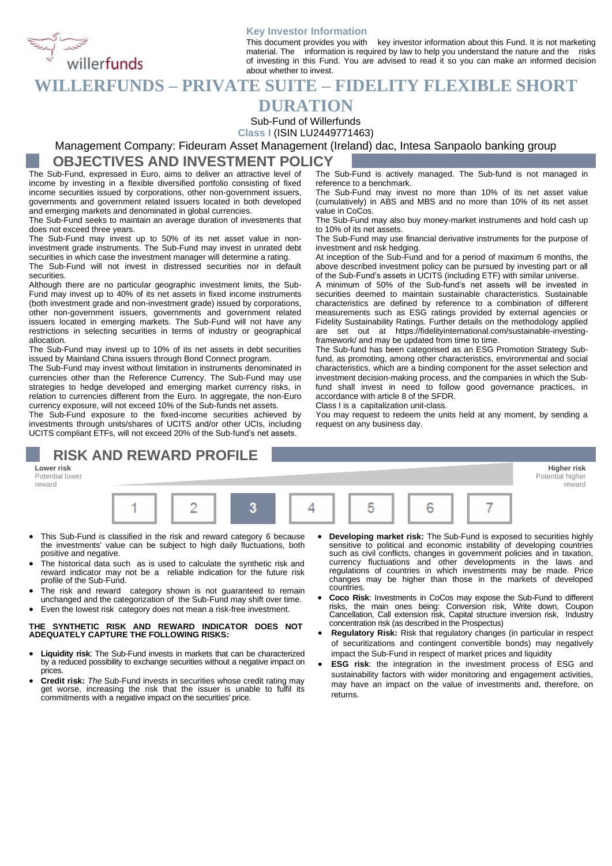### **Key Investor Information**

This document provides you with key investor information about this Fund. It is not marketing material. The information is required by law to help you understand the nature and the risks of investing in this Fund. You are advised to read it so you can make an informed decision about whether to invest. This document provides you with they always the pour understand the nature and the material. The information is required by law to help you understand the nature and the of investing in this Fund. You are advised to read i

### **DURATION**

Sub-Fund of Willerfunds

**Class I** (ISIN LU2449771463)

Management Company: Fideuram Asset Management (Ireland) dac, Intesa Sanpaolo banking group **OBJECTIVES AND INVESTMENT POLICY**

The Sub-Fund, expressed in Euro, aims to deliver an attractive level of income by investing in a flexible diversified portfolio consisting of fixed income securities issued by corporations, other non-government issuers, governments and government related issuers located in both developed and emerging markets and denominated in global currencies.

The Sub-Fund seeks to maintain an average duration of investments that does not exceed three years.

The Sub-Fund may invest up to 50% of its net asset value in noninvestment grade instruments. The Sub-Fund may invest in unrated debt securities in which case the investment manager will determine a rating.

The Sub-Fund will not invest in distressed securities nor in default securities.

Although there are no particular geographic investment limits, the Sub-Fund may invest up to 40% of its net assets in fixed income instruments (both investment grade and non-investment grade) issued by corporations, other non-government issuers, governments and government related issuers located in emerging markets. The Sub-Fund will not have any restrictions in selecting securities in terms of industry or geographical allocation.

The Sub-Fund may invest up to 10% of its net assets in debt securities issued by Mainland China issuers through Bond Connect program.

The Sub-Fund may invest without limitation in instruments denominated in currencies other than the Reference Currency. The Sub-Fund may use strategies to hedge developed and emerging market currency risks, in relation to currencies different from the Euro. In aggregate, the non-Euro currency exposure, will not exceed 10% of the Sub-funds net assets.

The Sub-Fund exposure to the fixed-income securities achieved by investments through units/shares of UCITS and/or other UCIs, including UCITS compliant ETFs, will not exceed 20% of the Sub-fund's net assets.

# **RISK AND REWARD PROFILE**

**Lower risk Higher risk** Potential lower reward



- This Sub-Fund is classified in the risk and reward category 6 because the investments' value can be subject to high daily fluctuations, both positive and negative.
- The historical data such as is used to calculate the synthetic risk and reward indicator may not be a reliable indication for the future risk profile of the Sub-Fund.
- The risk and reward category shown is not guaranteed to remain unchanged and the categorization of the Sub-Fund may shift over time.
- Even the lowest risk category does not mean a risk-free investment.

### **THE SYNTHETIC RISK AND REWARD INDICATOR DOES NOT ADEQUATELY CAPTURE THE FOLLOWING RISKS:**

- **Liquidity risk**: The Sub-Fund invests in markets that can be characterized by a reduced possibility to exchange securities without a negative impact on prices.
- **Credit risk:** *The* Sub-Fund invests in securities whose credit rating may get worse, increasing the risk that the issuer is unable to fulfil its commitments with a negative impact on the securities' price.
- **Developing market risk:** The Sub-Fund is exposed to securities highly sensitive to political and economic instability of developing countries such as civil conflicts, changes in government policies and in taxation, currency fluctuations and other developments in the laws and regulations of countries in which investments may be made. Price changes may be higher than those in the markets of developed countries.
- **Coco Risk**: Investments in CoCos may expose the Sub-Fund to different risks, the main ones being: Conversion risk, Write down, Coupon Cancellation, Call extension risk, Capital structure inversion risk, Industry concentration risk (as described in the Prospectus)
- **Regulatory Risk:** Risk that regulatory changes (in particular in respect of securitizations and contingent convertible bonds) may negatively impact the Sub-Fund in respect of market prices and liquidity
- **ESG risk**: the integration in the investment process of ESG and sustainability factors with wider monitoring and engagement activities, may have an impact on the value of investments and, therefore, on returns.

The Sub-Fund is actively managed. The Sub-fund is not managed in reference to a benchmark.

The Sub-Fund may invest no more than 10% of its net asset value (cumulatively) in ABS and MBS and no more than 10% of its net asset value in CoCos.

The Sub-Fund may also buy money-market instruments and hold cash up to 10% of its net assets.

The Sub-Fund may use financial derivative instruments for the purpose of investment and risk hedging.

At inception of the Sub-Fund and for a period of maximum 6 months, the above described investment policy can be pursued by investing part or all of the Sub-Fund's assets in UCITS (including ETF) with similar universe.

A minimum of 50% of the Sub-fund's net assets will be invested in securities deemed to maintain sustainable characteristics. Sustainable characteristics are defined by reference to a combination of different measurements such as ESG ratings provided by external agencies or Fidelity Sustainability Ratings. Further details on the methodology applied are set out at https://fidelityinternational.com/sustainable-investingframework/ and may be updated from time to time.

The Sub-fund has been categorised as an ESG Promotion Strategy Subfund, as promoting, among other characteristics, environmental and social characteristics, which are a binding component for the asset selection and investment decision-making process, and the companies in which the Subfund shall invest in need to follow good governance practices, in accordance with article 8 of the SFDR.

Class I is a capitalization unit-class.

You may request to redeem the units held at any moment, by sending a request on any business day.

> Potential higher reward